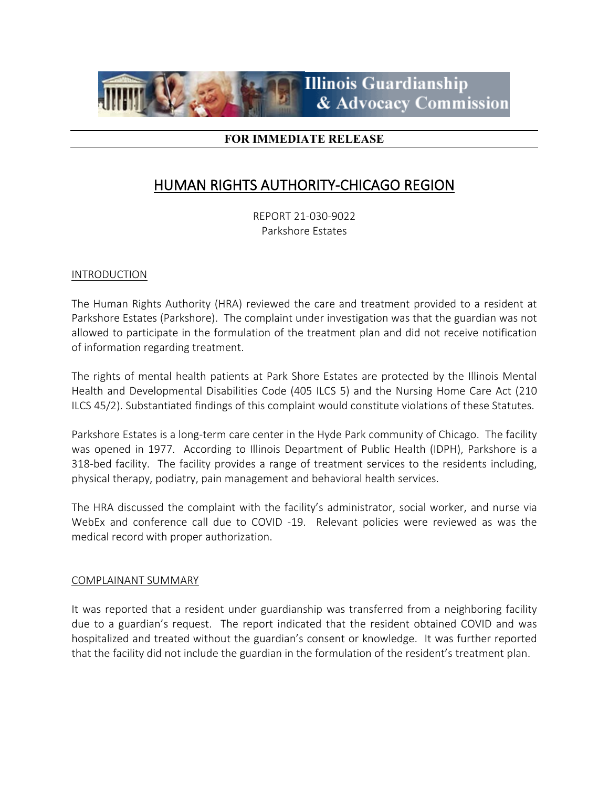

# **FOR IMMEDIATE RELEASE**

# HUMAN RIGHTS AUTHORITY-CHICAGO REGION

REPORT 21-030-9022 Parkshore Estates

## INTRODUCTION

The Human Rights Authority (HRA) reviewed the care and treatment provided to a resident at Parkshore Estates (Parkshore). The complaint under investigation was that the guardian was not allowed to participate in the formulation of the treatment plan and did not receive notification of information regarding treatment.

The rights of mental health patients at Park Shore Estates are protected by the Illinois Mental Health and Developmental Disabilities Code (405 ILCS 5) and the Nursing Home Care Act (210 ILCS 45/2). Substantiated findings of this complaint would constitute violations of these Statutes.

Parkshore Estates is a long-term care center in the Hyde Park community of Chicago. The facility was opened in 1977. According to Illinois Department of Public Health (IDPH), Parkshore is a 318-bed facility. The facility provides a range of treatment services to the residents including, physical therapy, podiatry, pain management and behavioral health services.

The HRA discussed the complaint with the facility's administrator, social worker, and nurse via WebEx and conference call due to COVID -19. Relevant policies were reviewed as was the medical record with proper authorization.

## COMPLAINANT SUMMARY

It was reported that a resident under guardianship was transferred from a neighboring facility due to a guardian's request. The report indicated that the resident obtained COVID and was hospitalized and treated without the guardian's consent or knowledge. It was further reported that the facility did not include the guardian in the formulation of the resident's treatment plan.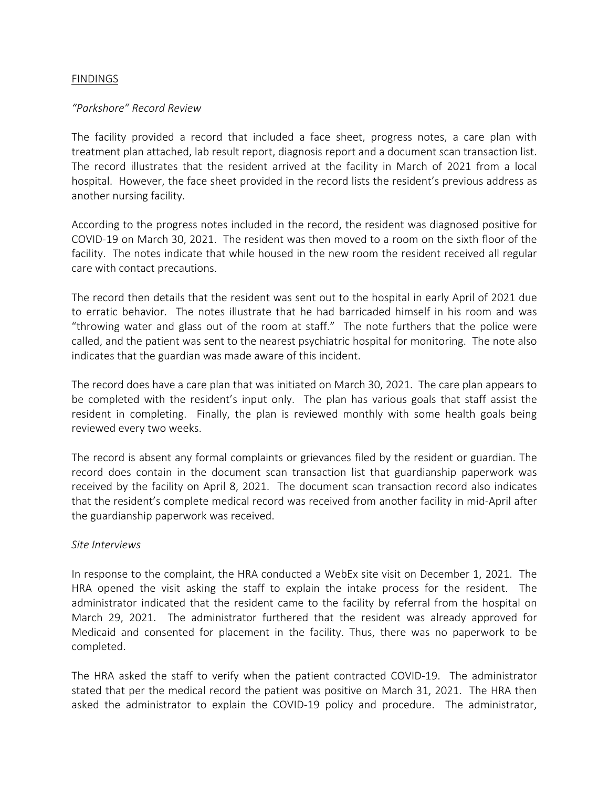## FINDINGS

### *"Parkshore" Record Review*

The facility provided a record that included a face sheet, progress notes, a care plan with treatment plan attached, lab result report, diagnosis report and a document scan transaction list. The record illustrates that the resident arrived at the facility in March of 2021 from a local hospital. However, the face sheet provided in the record lists the resident's previous address as another nursing facility.

According to the progress notes included in the record, the resident was diagnosed positive for COVID-19 on March 30, 2021. The resident was then moved to a room on the sixth floor of the facility. The notes indicate that while housed in the new room the resident received all regular care with contact precautions.

The record then details that the resident was sent out to the hospital in early April of 2021 due to erratic behavior. The notes illustrate that he had barricaded himself in his room and was "throwing water and glass out of the room at staff." The note furthers that the police were called, and the patient was sent to the nearest psychiatric hospital for monitoring. The note also indicates that the guardian was made aware of this incident.

The record does have a care plan that was initiated on March 30, 2021. The care plan appears to be completed with the resident's input only. The plan has various goals that staff assist the resident in completing. Finally, the plan is reviewed monthly with some health goals being reviewed every two weeks.

The record is absent any formal complaints or grievances filed by the resident or guardian. The record does contain in the document scan transaction list that guardianship paperwork was received by the facility on April 8, 2021. The document scan transaction record also indicates that the resident's complete medical record was received from another facility in mid-April after the guardianship paperwork was received.

#### *Site Interviews*

In response to the complaint, the HRA conducted a WebEx site visit on December 1, 2021. The HRA opened the visit asking the staff to explain the intake process for the resident. The administrator indicated that the resident came to the facility by referral from the hospital on March 29, 2021. The administrator furthered that the resident was already approved for Medicaid and consented for placement in the facility. Thus, there was no paperwork to be completed.

The HRA asked the staff to verify when the patient contracted COVID-19. The administrator stated that per the medical record the patient was positive on March 31, 2021. The HRA then asked the administrator to explain the COVID-19 policy and procedure. The administrator,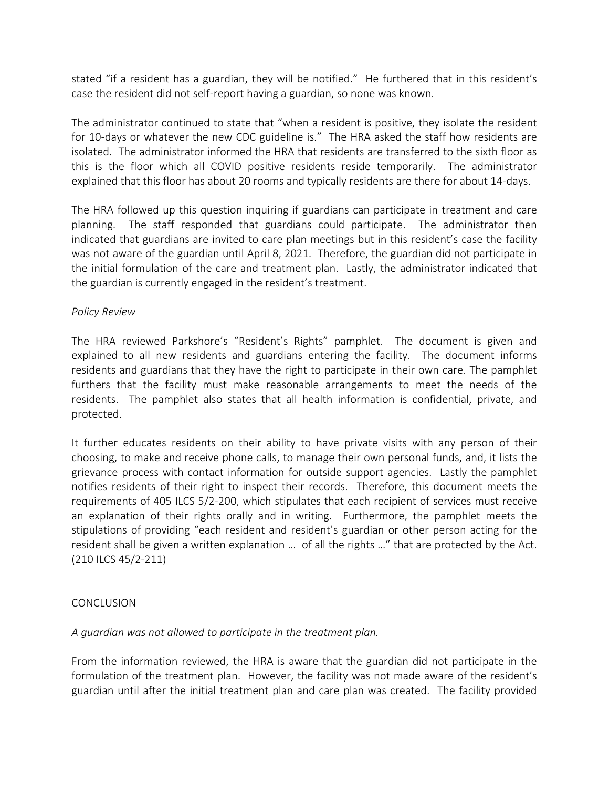stated "if a resident has a guardian, they will be notified." He furthered that in this resident's case the resident did not self-report having a guardian, so none was known.

The administrator continued to state that "when a resident is positive, they isolate the resident for 10-days or whatever the new CDC guideline is." The HRA asked the staff how residents are isolated. The administrator informed the HRA that residents are transferred to the sixth floor as this is the floor which all COVID positive residents reside temporarily. The administrator explained that this floor has about 20 rooms and typically residents are there for about 14-days.

The HRA followed up this question inquiring if guardians can participate in treatment and care planning. The staff responded that guardians could participate. The administrator then indicated that guardians are invited to care plan meetings but in this resident's case the facility was not aware of the guardian until April 8, 2021. Therefore, the guardian did not participate in the initial formulation of the care and treatment plan. Lastly, the administrator indicated that the guardian is currently engaged in the resident's treatment.

# *Policy Review*

The HRA reviewed Parkshore's "Resident's Rights" pamphlet. The document is given and explained to all new residents and guardians entering the facility. The document informs residents and guardians that they have the right to participate in their own care. The pamphlet furthers that the facility must make reasonable arrangements to meet the needs of the residents. The pamphlet also states that all health information is confidential, private, and protected.

It further educates residents on their ability to have private visits with any person of their choosing, to make and receive phone calls, to manage their own personal funds, and, it lists the grievance process with contact information for outside support agencies. Lastly the pamphlet notifies residents of their right to inspect their records. Therefore, this document meets the requirements of 405 ILCS 5/2-200, which stipulates that each recipient of services must receive an explanation of their rights orally and in writing. Furthermore, the pamphlet meets the stipulations of providing "each resident and resident's guardian or other person acting for the resident shall be given a written explanation … of all the rights …" that are protected by the Act. (210 ILCS 45/2-211)

## **CONCLUSION**

# *A guardian was not allowed to participate in the treatment plan.*

From the information reviewed, the HRA is aware that the guardian did not participate in the formulation of the treatment plan. However, the facility was not made aware of the resident's guardian until after the initial treatment plan and care plan was created. The facility provided